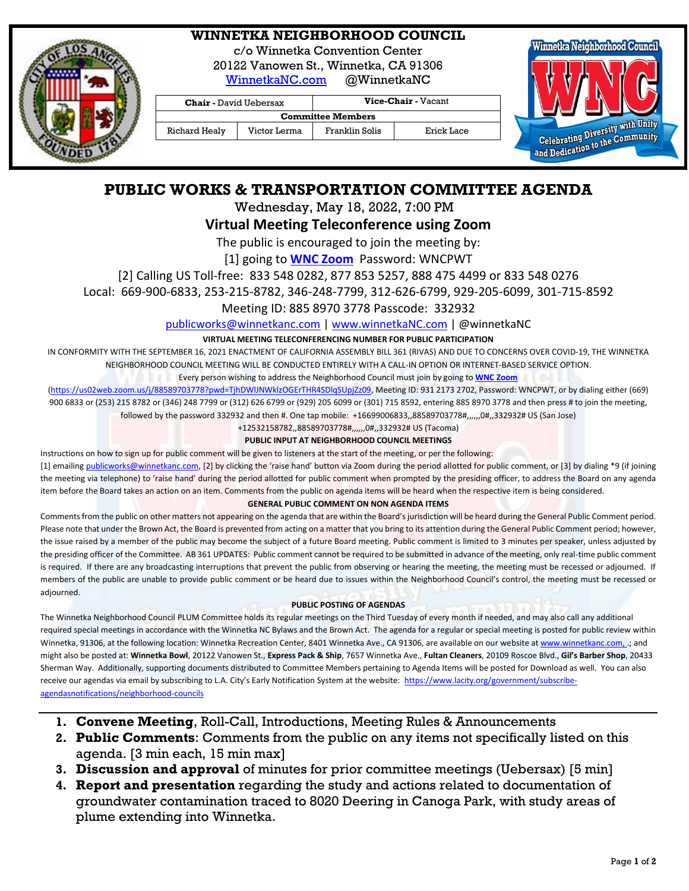

# **WINNETKA NEIGHBORHOOD COUNCIL**

c/o Winnetka Convention Center

20122 Vanowen St., Winnetka, CA 91306

[WinnetkaNC.com](http://www.winnetkanc.com/) @WinnetkaNC

**Chair -** David Uebersax **Vice-Chair -** Vacant **Committee Members** Richard Healy | Victor Lerma | Franklin Solis | Erick Lace



# **PUBLIC WORKS & TRANSPORTATION COMMITTEE AGENDA**

Wednesday, May 18, 2022, 7:00 PM

# **Virtual Meeting Teleconference using Zoom**

The public is encouraged to join the meeting by:

[1] going to **[WNC Zoom](https://us02web.zoom.us/j/88589703778?pwd=TjhDWlJNWklzOGErTHR4SDlqSUpjZz09)** Password: WNCPWT

[2] Calling US Toll-free: 833 548 0282, 877 853 5257, 888 475 4499 or 833 548 0276

Local: 669-900-6833, 253-215-8782, 346-248-7799, 312-626-6799, 929-205-6099, 301-715-8592

Meeting ID: 885 8970 3778 Passcode: 332932

[publicworks@winnetkanc.com](mailto:publicworks@winnetkanc.com) | [www.winnetkaNC.com](file://///UUEBERBASE/Users/uuebmeister/Documents/Community/Winnetka%20Neighborhood%20Council/WNC%20Board%20Agendas%20and%20Minutes/www.winnetkaNC.com) | @winnetkaNC

### **VIRTUAL MEETING TELECONFERENCING NUMBER FOR PUBLIC PARTICIPATION**

IN CONFORMITY WITH THE SEPTEMBER 16, 2021 ENACTMENT OF CALIFORNIA ASSEMBLY BILL 361 (RIVAS) AND DUE TO CONCERNS OVER COVID-19, THE WINNETKA NEIGHBORHOOD COUNCIL MEETING WILL BE CONDUCTED ENTIRELY WITH A CALL-IN OPTION OR INTERNET-BASED SERVICE OPTION.

Every person wishing to address the Neighborhood Council must join by going to **[WNC Zoom](https://us02web.zoom.us/j/88589703778?pwd=TjhDWlJNWklzOGErTHR4SDlqSUpjZz09)**

[\(https://us02web.zoom.us/j/88589703778?pwd=TjhDWlJNWklzOGErTHR4SDlqSUpjZz09,](https://us02web.zoom.us/j/88589703778?pwd=TjhDWlJNWklzOGErTHR4SDlqSUpjZz09) Meeting ID: 931 2173 2702, Password: WNCPWT, or by dialing either (669) 900 6833 or (253) 215 8782 or (346) 248 7799 or (312) 626 6799 or (929) 205 6099 or (301) 715 8592, entering 885 8970 3778 and then press # to join the meeting, followed by the password 332932 and then #. One tap mobile: +16699006833,,88589703778#,,,,,,0#,,332932# US (San Jose)

> +12532158782,,88589703778#,,,,,,0#,,332932# US (Tacoma) **PUBLIC INPUT AT NEIGHBORHOOD COUNCIL MEETINGS**

## Instructions on how to sign up for public comment will be given to listeners at the start of the meeting, or per the following:

[1] emailin[g publicworks@winnetkanc.com](mailto:publicworks@winnetkanc.com), [2] by clicking the 'raise hand' button via Zoom during the period allotted for public comment, or [3] by dialing \*9 (if joining the meeting via telephone) to 'raise hand' during the period allotted for public comment when prompted by the presiding officer, to address the Board on any agenda item before the Board takes an action on an item. Comments from the public on agenda items will be heard when the respective item is being considered.

### **GENERAL PUBLIC COMMENT ON NON AGENDA ITEMS**

Comments from the public on other matters not appearing on the agenda that are within the Board's jurisdiction will be heard during the General Public Comment period. Please note that under the Brown Act, the Board is prevented from acting on a matter that you bring to its attention during the General Public Comment period; however, the issue raised by a member of the public may become the subject of a future Board meeting. Public comment is limited to 3 minutes per speaker, unless adjusted by the presiding officer of the Committee. AB 361 UPDATES: Public comment cannot be required to be submitted in advance of the meeting, only real-time public comment is required. If there are any broadcasting interruptions that prevent the public from observing or hearing the meeting, the meeting must be recessed or adjourned. If members of the public are unable to provide public comment or be heard due to issues within the Neighborhood Council's control, the meeting must be recessed or adjourned.

### **PUBLIC POSTING OF AGENDAS**

The Winnetka Neighborhood Council PLUM Committee holds its regular meetings on the Third Tuesday of every month if needed, and may also call any additional required special meetings in accordance with the Winnetka NC Bylaws and the Brown Act. The agenda for a regular or special meeting is posted for public review within Winnetka, 91306, at the following location: Winnetka Recreation Center, 8401 Winnetka Ave., CA 91306, are available on our website a[t www.winnetkanc.com,](file://///UUEBERBASE/Users/uuebmeister/Documents/Community/Winnetka%20Neighborhood%20Council/WNC%20Board%20Agendas%20and%20Minutes/www.winnetkanc.com) .; and might also be posted at: **Winnetka Bowl**, 20122 Vanowen St., **Express Pack & Ship**, 7657 Winnetka Ave., **Fultan Cleaners**, 20109 Roscoe Blvd., **Gil's Barber Shop**, 20433 Sherman Way. Additionally, supporting documents distributed to Committee Members pertaining to Agenda Items will be posted for Download as well. You can also receive our agendas via email by subscribing to L.A. City's Early Notification System at the website: [https://www.lacity.org/government/subscribe](https://www.lacity.org/government/subscribe-agendasnotifications/neighborhood-councils)[agendasnotifications/neighborhood-councils](https://www.lacity.org/government/subscribe-agendasnotifications/neighborhood-councils)

- **1. Convene Meeting**, Roll-Call, Introductions, Meeting Rules & Announcements
- **2. Public Comments**: Comments from the public on any items not specifically listed on this agenda. [3 min each, 15 min max]
- **3. Discussion and approval** of minutes for prior committee meetings (Uebersax) [5 min]
- **4. Report and presentation** regarding the study and actions related to documentation of groundwater contamination traced to 8020 Deering in Canoga Park, with study areas of plume extending into Winnetka.